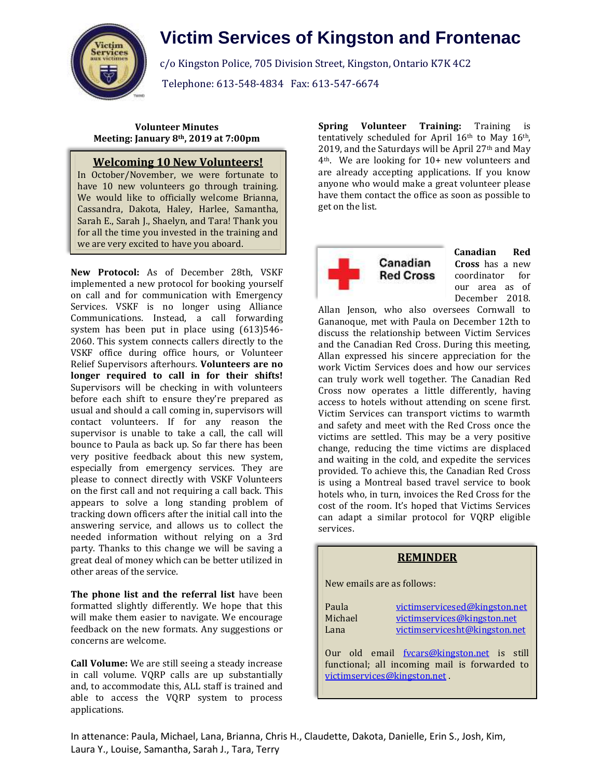

# **Victim Services of Kingston and Frontenac**

c/o Kingston Police, 705 Division Street, Kingston, Ontario K7K 4C2 Telephone: 613-548-4834 Fax: 613-547-6674

**Volunteer Minutes Meeting: January 8th, 2019 at 7:00pm**

## **Welcoming 10 New Volunteers!**

we are very excited to have you aboard. In October/November, we were fortunate to have 10 new volunteers go through training. We would like to officially welcome Brianna, Cassandra, Dakota, Haley, Harlee, Samantha, Sarah E., Sarah J., Shaelyn, and Tara! Thank you for all the time you invested in the training and

**New Protocol:** As of December 28th, VSKF implemented a new protocol for booking yourself on call and for communication with Emergency Services. VSKF is no longer using Alliance Communications. Instead, a call forwarding system has been put in place using (613)546- 2060. This system connects callers directly to the VSKF office during office hours, or Volunteer Relief Supervisors afterhours. **Volunteers are no longer required to call in for their shifts!** Supervisors will be checking in with volunteers before each shift to ensure they're prepared as usual and should a call coming in, supervisors will contact volunteers. If for any reason the supervisor is unable to take a call, the call will bounce to Paula as back up. So far there has been very positive feedback about this new system, especially from emergency services. They are please to connect directly with VSKF Volunteers on the first call and not requiring a call back. This appears to solve a long standing problem of tracking down officers after the initial call into the answering service, and allows us to collect the needed information without relying on a 3rd party. Thanks to this change we will be saving a great deal of money which can be better utilized in other areas of the service.

**The phone list and the referral list** have been formatted slightly differently. We hope that this will make them easier to navigate. We encourage feedback on the new formats. Any suggestions or concerns are welcome.

**Call Volume:** We are still seeing a steady increase in call volume. VQRP calls are up substantially and, to accommodate this, ALL staff is trained and able to access the VQRP system to process applications.

**Spring Volunteer Training:** Training is tentatively scheduled for April 16th to May 16th, 2019, and the Saturdays will be April  $27<sup>th</sup>$  and May 4th. We are looking for 10+ new volunteers and are already accepting applications. If you know anyone who would make a great volunteer please have them contact the office as soon as possible to get on the list.



**Canadian Red Cross** has a new coordinator for our area as of December 2018.

Allan Jenson, who also oversees Cornwall to Gananoque, met with Paula on December 12th to discuss the relationship between Victim Services and the Canadian Red Cross. During this meeting, Allan expressed his sincere appreciation for the work Victim Services does and how our services can truly work well together. The Canadian Red Cross now operates a little differently, having access to hotels without attending on scene first. Victim Services can transport victims to warmth and safety and meet with the Red Cross once the victims are settled. This may be a very positive change, reducing the time victims are displaced and waiting in the cold, and expedite the services provided. To achieve this, the Canadian Red Cross is using a Montreal based travel service to book hotels who, in turn, invoices the Red Cross for the cost of the room. It's hoped that Victims Services can adapt a similar protocol for VQRP eligible services.

#### **REMINDER**

New emails are as follows:

| Paula                                                                                                                      | victimservicesed@kingston.net |
|----------------------------------------------------------------------------------------------------------------------------|-------------------------------|
| Michael                                                                                                                    | victimservices@kingston.net   |
| Lana                                                                                                                       | victimservicesht@kingston.net |
| Our old email fycars@kingston.net is still<br>functional; all incoming mail is forwarded to<br>victimservices@kingston.net |                               |

In attenance: Paula, Michael, Lana, Brianna, Chris H., Claudette, Dakota, Danielle, Erin S., Josh, Kim, Laura Y., Louise, Samantha, Sarah J., Tara, Terry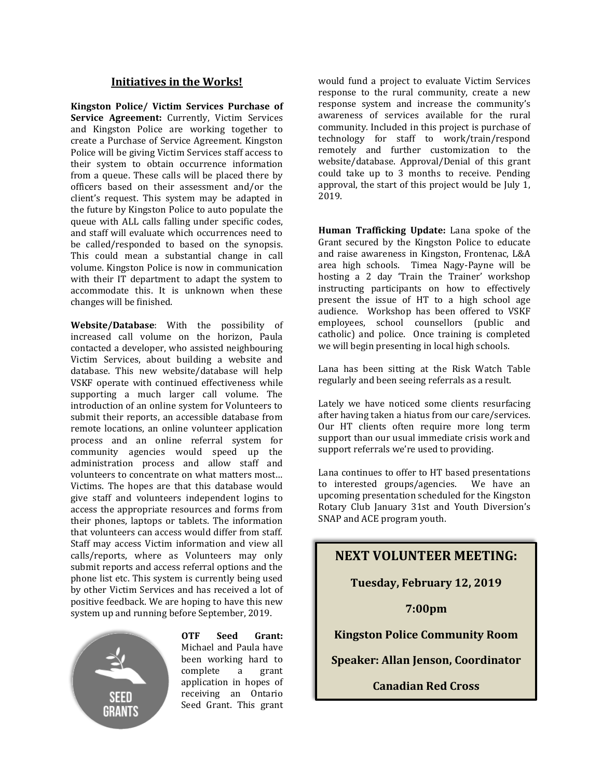### **Initiatives in the Works!**

**Kingston Police/ Victim Services Purchase of Service Agreement:** Currently, Victim Services and Kingston Police are working together to create a Purchase of Service Agreement. Kingston Police will be giving Victim Services staff access to their system to obtain occurrence information from a queue. These calls will be placed there by officers based on their assessment and/or the client's request. This system may be adapted in the future by Kingston Police to auto populate the queue with ALL calls falling under specific codes, and staff will evaluate which occurrences need to be called/responded to based on the synopsis. This could mean a substantial change in call volume. Kingston Police is now in communication with their IT department to adapt the system to accommodate this. It is unknown when these changes will be finished.

**Website/Database**: With the possibility of increased call volume on the horizon, Paula contacted a developer, who assisted neighbouring Victim Services, about building a website and database. This new website/database will help VSKF operate with continued effectiveness while supporting a much larger call volume. The introduction of an online system for Volunteers to submit their reports, an accessible database from remote locations, an online volunteer application process and an online referral system for community agencies would speed up the administration process and allow staff and volunteers to concentrate on what matters most… Victims. The hopes are that this database would give staff and volunteers independent logins to access the appropriate resources and forms from their phones, laptops or tablets. The information that volunteers can access would differ from staff. Staff may access Victim information and view all calls/reports, where as Volunteers may only submit reports and access referral options and the phone list etc. This system is currently being used by other Victim Services and has received a lot of positive feedback. We are hoping to have this new system up and running before September, 2019.



**OTF Seed Grant:** Michael and Paula have been working hard to complete a grant application in hopes of receiving an Ontario Seed Grant. This grant would fund a project to evaluate Victim Services response to the rural community, create a new response system and increase the community's awareness of services available for the rural community. Included in this project is purchase of technology for staff to work/train/respond remotely and further customization to the website/database. Approval/Denial of this grant could take up to 3 months to receive. Pending approval, the start of this project would be July 1, 2019.

**Human Trafficking Update:** Lana spoke of the Grant secured by the Kingston Police to educate and raise awareness in Kingston, Frontenac, L&A area high schools. Timea Nagy-Payne will be hosting a 2 day 'Train the Trainer' workshop instructing participants on how to effectively present the issue of HT to a high school age audience. Workshop has been offered to VSKF employees, school counsellors (public and catholic) and police. Once training is completed we will begin presenting in local high schools.

Lana has been sitting at the Risk Watch Table regularly and been seeing referrals as a result.

Lately we have noticed some clients resurfacing after having taken a hiatus from our care/services. Our HT clients often require more long term support than our usual immediate crisis work and support referrals we're used to providing.

Lana continues to offer to HT based presentations to interested groups/agencies. We have an upcoming presentation scheduled for the Kingston Rotary Club January 31st and Youth Diversion's SNAP and ACE program youth.

# **NEXT VOLUNTEER MEETING:**

## **Tuesday, February 12, 2019**

**7:00pm**

### **Kingston Police Community Room**

**Speaker: Allan Jenson, Coordinator**

**Canadian Red Cross**